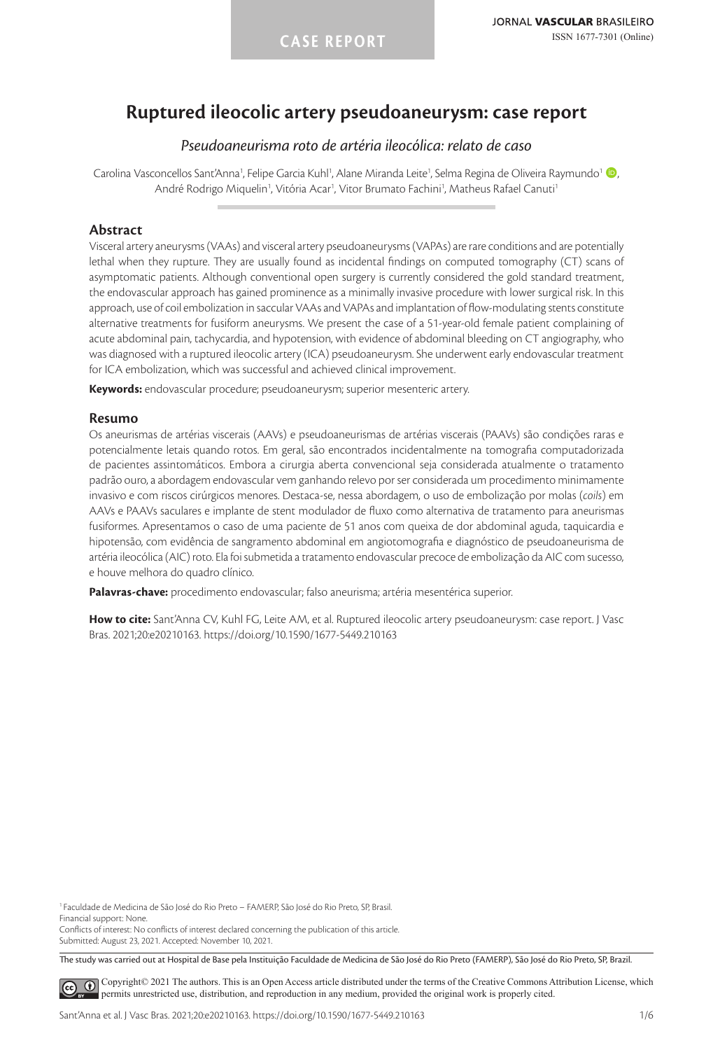# **Ruptured ileocolic artery pseudoaneurysm: case report**

# *Pseudoaneurisma roto de artéria ileocólica: relato de caso*

Carolina Vasconcellos Sant'Anna<sup>1</sup>, Felipe Garcia Kuhl<sup>1</sup>, Alane Miranda Leite<sup>1</sup>, Selma Regina de Oliveira Raymundo<sup>1</sup> (D André Rodrigo Miquelin<sup>1</sup>, Vitória Acar<sup>1</sup>, Vitor Brumato Fachini<sup>1</sup>, Matheus Rafael Canuti<sup>1</sup>

### **Abstract**

Visceral artery aneurysms (VAAs) and visceral artery pseudoaneurysms (VAPAs) are rare conditions and are potentially lethal when they rupture. They are usually found as incidental findings on computed tomography (CT) scans of asymptomatic patients. Although conventional open surgery is currently considered the gold standard treatment, the endovascular approach has gained prominence as a minimally invasive procedure with lower surgical risk. In this approach, use of coil embolization in saccular VAAs and VAPAs and implantation of flow-modulating stents constitute alternative treatments for fusiform aneurysms. We present the case of a 51-year-old female patient complaining of acute abdominal pain, tachycardia, and hypotension, with evidence of abdominal bleeding on CT angiography, who was diagnosed with a ruptured ileocolic artery (ICA) pseudoaneurysm. She underwent early endovascular treatment for ICA embolization, which was successful and achieved clinical improvement.

**Keywords:** endovascular procedure; pseudoaneurysm; superior mesenteric artery.

### **Resumo**

Os aneurismas de artérias viscerais (AAVs) e pseudoaneurismas de artérias viscerais (PAAVs) são condições raras e potencialmente letais quando rotos. Em geral, são encontrados incidentalmente na tomografia computadorizada de pacientes assintomáticos. Embora a cirurgia aberta convencional seja considerada atualmente o tratamento padrão ouro, a abordagem endovascular vem ganhando relevo por ser considerada um procedimento minimamente invasivo e com riscos cirúrgicos menores. Destaca-se, nessa abordagem, o uso de embolização por molas (*coils*) em AAVs e PAAVs saculares e implante de stent modulador de fluxo como alternativa de tratamento para aneurismas fusiformes. Apresentamos o caso de uma paciente de 51 anos com queixa de dor abdominal aguda, taquicardia e hipotensão, com evidência de sangramento abdominal em angiotomografia e diagnóstico de pseudoaneurisma de artéria ileocólica (AIC) roto. Ela foi submetida a tratamento endovascular precoce de embolização da AIC com sucesso, e houve melhora do quadro clínico.

**Palavras-chave:** procedimento endovascular; falso aneurisma; artéria mesentérica superior.

**How to cite:** Sant'Anna CV, Kuhl FG, Leite AM, et al. Ruptured ileocolic artery pseudoaneurysm: case report. J Vasc Bras. 2021;20:e20210163. https://doi.org/10.1590/1677-5449.210163

<sup>1</sup> Faculdade de Medicina de São José do Rio Preto – FAMERP, São José do Rio Preto, SP, Brasil. Financial support: None.

Conflicts of interest: No conflicts of interest declared concerning the publication of this article. Submitted: August 23, 2021. Accepted: November 10, 2021.

The study was carried out at Hospital de Base pela Instituição Faculdade de Medicina de São José do Rio Preto (FAMERP), São José do Rio Preto, SP, Brazil.

[C](https://creativecommons.org/licenses/by/4.0/)opyright© 2021 The authors. This is an Open Access article distributed under the terms of the Creative Commons Attribution License, which  $\left( \mathbf{c}\right)$ permits unrestricted use, distribution, and reproduction in any medium, provided the original work is properly cited.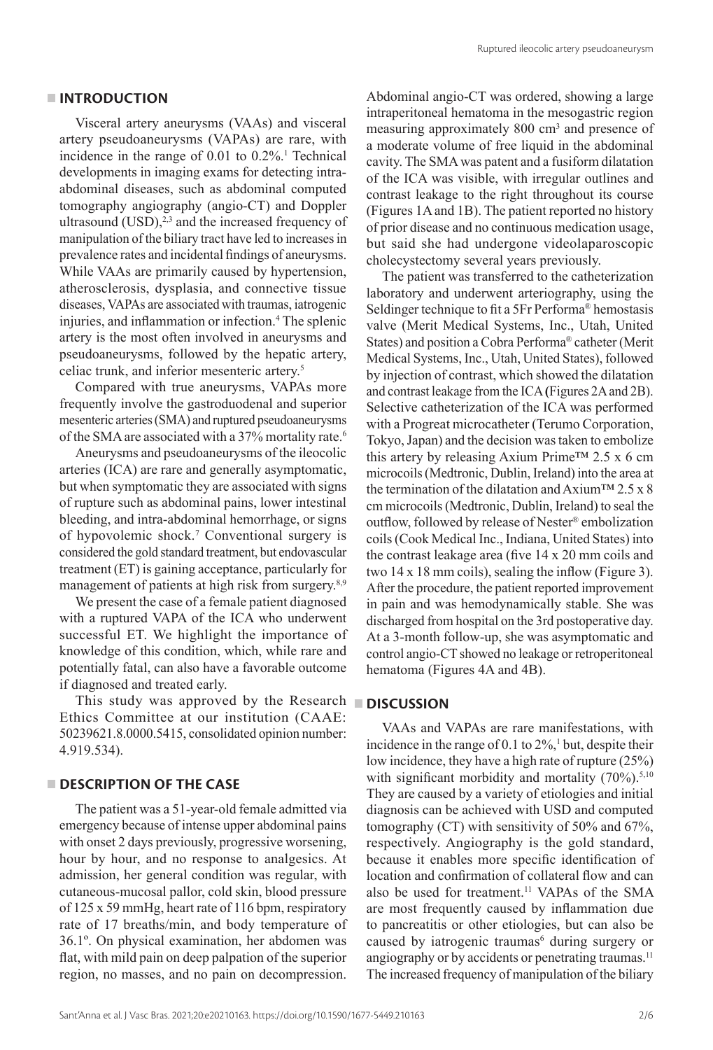### **INTRODUCTION**

Visceral artery aneurysms (VAAs) and visceral artery pseudoaneurysms (VAPAs) are rare, with incidence in the range of 0.01 to 0.2%.1 Technical developments in imaging exams for detecting intraabdominal diseases, such as abdominal computed tomography angiography (angio-CT) and Doppler ultrasound  $(USD),^{2,3}$  and the increased frequency of manipulation of the biliary tract have led to increases in prevalence rates and incidental findings of aneurysms. While VAAs are primarily caused by hypertension, atherosclerosis, dysplasia, and connective tissue diseases, VAPAs are associated with traumas, iatrogenic injuries, and inflammation or infection.<sup>4</sup> The splenic artery is the most often involved in aneurysms and pseudoaneurysms, followed by the hepatic artery, celiac trunk, and inferior mesenteric artery.5

Compared with true aneurysms, VAPAs more frequently involve the gastroduodenal and superior mesenteric arteries (SMA) and ruptured pseudoaneurysms of the SMA are associated with a 37% mortality rate.6

Aneurysms and pseudoaneurysms of the ileocolic arteries (ICA) are rare and generally asymptomatic, but when symptomatic they are associated with signs of rupture such as abdominal pains, lower intestinal bleeding, and intra-abdominal hemorrhage, or signs of hypovolemic shock.7 Conventional surgery is considered the gold standard treatment, but endovascular treatment (ET) is gaining acceptance, particularly for management of patients at high risk from surgery.<sup>8,9</sup>

We present the case of a female patient diagnosed with a ruptured VAPA of the ICA who underwent successful ET. We highlight the importance of knowledge of this condition, which, while rare and potentially fatal, can also have a favorable outcome if diagnosed and treated early.

This study was approved by the Research **DISCUSSION** Ethics Committee at our institution (CAAE: 50239621.8.0000.5415, consolidated opinion number: 4.919.534).

### **DESCRIPTION OF THE CASE**

The patient was a 51-year-old female admitted via emergency because of intense upper abdominal pains with onset 2 days previously, progressive worsening, hour by hour, and no response to analgesics. At admission, her general condition was regular, with cutaneous-mucosal pallor, cold skin, blood pressure of 125 x 59 mmHg, heart rate of 116 bpm, respiratory rate of 17 breaths/min, and body temperature of 36.1º. On physical examination, her abdomen was flat, with mild pain on deep palpation of the superior region, no masses, and no pain on decompression.

Abdominal angio-CT was ordered, showing a large intraperitoneal hematoma in the mesogastric region measuring approximately 800 cm<sup>3</sup> and presence of a moderate volume of free liquid in the abdominal cavity. The SMA was patent and a fusiform dilatation of the ICA was visible, with irregular outlines and contrast leakage to the right throughout its course (Figures 1Aand 1B). The patient reported no history of prior disease and no continuous medication usage, but said she had undergone videolaparoscopic cholecystectomy several years previously.

The patient was transferred to the catheterization laboratory and underwent arteriography, using the Seldinger technique to fit a 5Fr Performa® hemostasis valve (Merit Medical Systems, Inc., Utah, United States) and position a Cobra Performa® catheter (Merit Medical Systems, Inc., Utah, United States), followed by injection of contrast, which showed the dilatation and contrast leakage from the ICA **(**Figures 2Aand 2B). Selective catheterization of the ICA was performed with a Progreat microcatheter (Terumo Corporation, Tokyo, Japan) and the decision was taken to embolize this artery by releasing Axium Prime<sup>TM</sup> 2.5 x 6 cm microcoils (Medtronic, Dublin, Ireland) into the area at the termination of the dilatation and Axium™ 2.5 x 8 cm microcoils (Medtronic, Dublin, Ireland) to seal the outflow, followed by release of Nester® embolization coils (Cook Medical Inc., Indiana, United States) into the contrast leakage area (five 14 x 20 mm coils and two 14 x 18 mm coils), sealing the inflow (Figure 3). After the procedure, the patient reported improvement in pain and was hemodynamically stable. She was discharged from hospital on the 3rd postoperative day. At a 3-month follow-up, she was asymptomatic and control angio-CT showed no leakage or retroperitoneal hematoma (Figures 4A and 4B).

VAAs and VAPAs are rare manifestations, with incidence in the range of  $0.1$  to  $2\%$ ,<sup>1</sup> but, despite their low incidence, they have a high rate of rupture (25%) with significant morbidity and mortality  $(70\%)$ .<sup>5,10</sup> They are caused by a variety of etiologies and initial diagnosis can be achieved with USD and computed tomography (CT) with sensitivity of 50% and 67%, respectively. Angiography is the gold standard, because it enables more specific identification of location and confirmation of collateral flow and can also be used for treatment.<sup>11</sup> VAPAs of the SMA are most frequently caused by inflammation due to pancreatitis or other etiologies, but can also be caused by iatrogenic traumas<sup>6</sup> during surgery or angiography or by accidents or penetrating traumas.<sup>11</sup> The increased frequency of manipulation of the biliary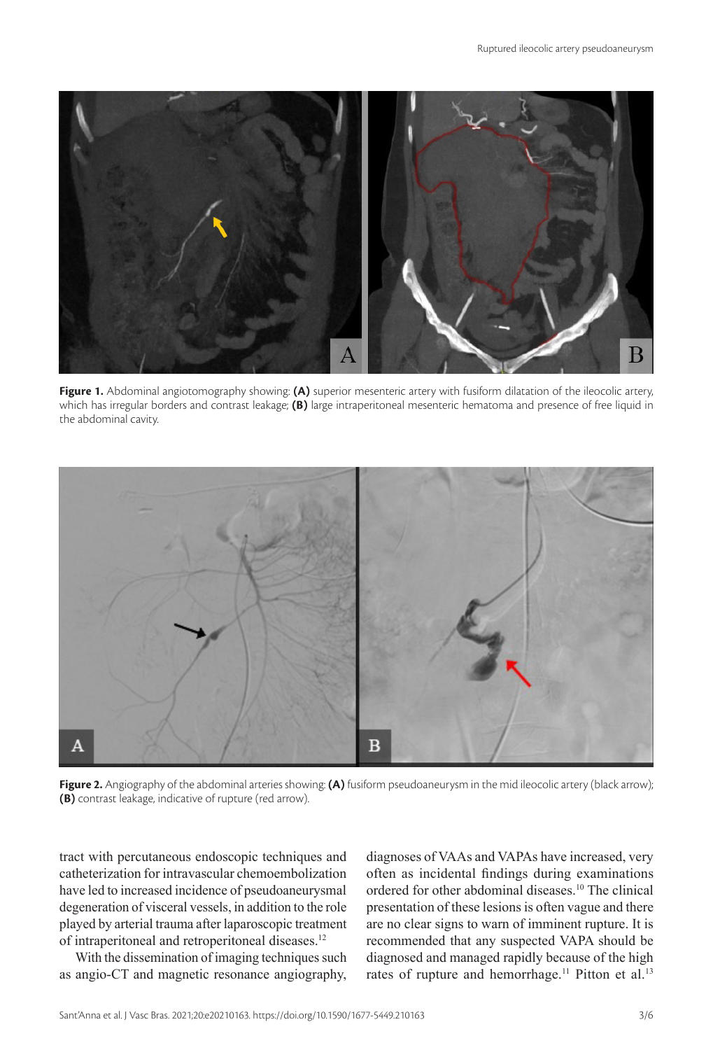

**Figure 1.** Abdominal angiotomography showing: **(A)** superior mesenteric artery with fusiform dilatation of the ileocolic artery, which has irregular borders and contrast leakage; **(B)** large intraperitoneal mesenteric hematoma and presence of free liquid in the abdominal cavity.



**Figure 2.** Angiography of the abdominal arteries showing: **(A)** fusiform pseudoaneurysm in the mid ileocolic artery (black arrow); **(B)** contrast leakage, indicative of rupture (red arrow).

tract with percutaneous endoscopic techniques and catheterization for intravascular chemoembolization have led to increased incidence of pseudoaneurysmal degeneration of visceral vessels, in addition to the role played by arterial trauma after laparoscopic treatment of intraperitoneal and retroperitoneal diseases.<sup>12</sup>

With the dissemination of imaging techniques such as angio-CT and magnetic resonance angiography, diagnoses of VAAs and VAPAs have increased, very often as incidental findings during examinations ordered for other abdominal diseases.10 The clinical presentation of these lesions is often vague and there are no clear signs to warn of imminent rupture. It is recommended that any suspected VAPA should be diagnosed and managed rapidly because of the high rates of rupture and hemorrhage.<sup>11</sup> Pitton et al.<sup>13</sup>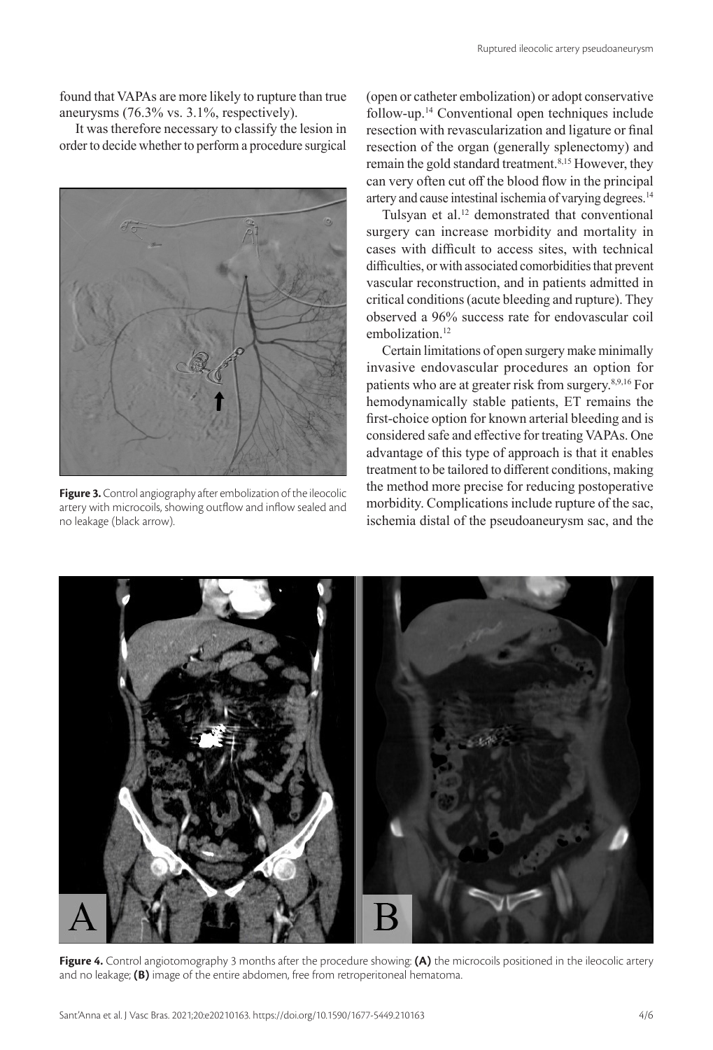found that VAPAs are more likely to rupture than true aneurysms (76.3% vs. 3.1%, respectively).

It was therefore necessary to classify the lesion in order to decide whether to perform a procedure surgical



**Figure 3.** Control angiography after embolization of the ileocolic artery with microcoils, showing outflow and inflow sealed and no leakage (black arrow).

(open or catheter embolization) or adopt conservative follow-up.14 Conventional open techniques include resection with revascularization and ligature or final resection of the organ (generally splenectomy) and remain the gold standard treatment.<sup>8,15</sup> However, they can very often cut off the blood flow in the principal artery and cause intestinal ischemia of varying degrees.<sup>14</sup>

Tulsyan et al.<sup>12</sup> demonstrated that conventional surgery can increase morbidity and mortality in cases with difficult to access sites, with technical difficulties, or with associated comorbidities that prevent vascular reconstruction, and in patients admitted in critical conditions (acute bleeding and rupture). They observed a 96% success rate for endovascular coil embolization<sup>12</sup>

Certain limitations of open surgery make minimally invasive endovascular procedures an option for patients who are at greater risk from surgery.8,9,16 For hemodynamically stable patients, ET remains the first-choice option for known arterial bleeding and is considered safe and effective for treating VAPAs. One advantage of this type of approach is that it enables treatment to be tailored to different conditions, making the method more precise for reducing postoperative morbidity. Complications include rupture of the sac, ischemia distal of the pseudoaneurysm sac, and the



**Figure 4.** Control angiotomography 3 months after the procedure showing: **(A)** the microcoils positioned in the ileocolic artery and no leakage; **(B)** image of the entire abdomen, free from retroperitoneal hematoma.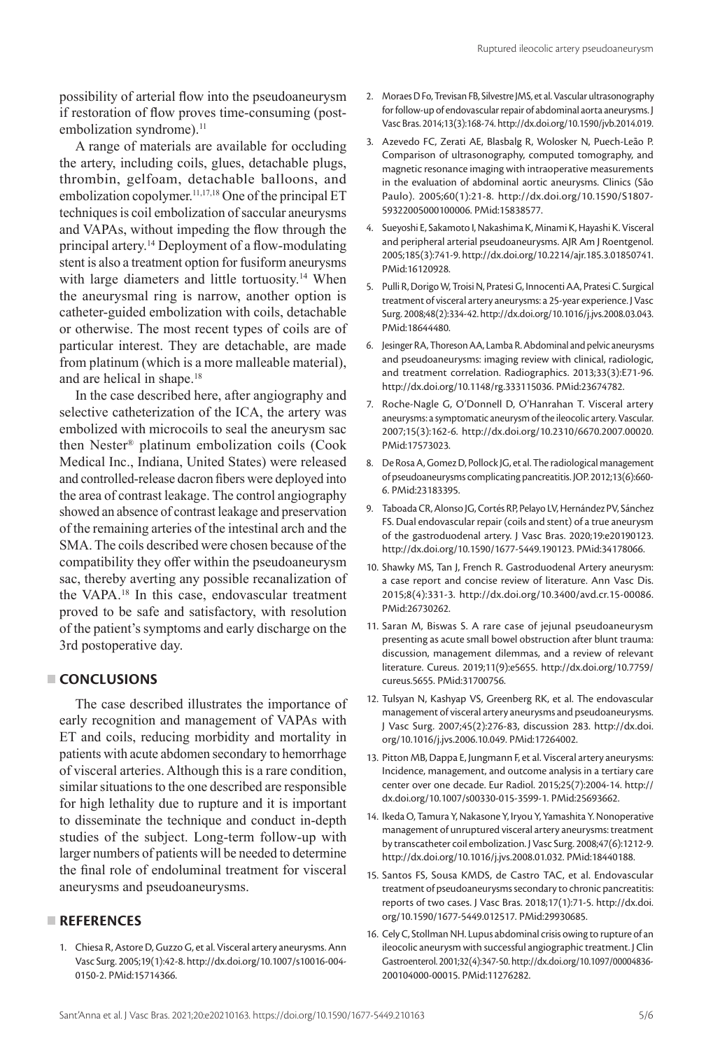possibility of arterial flow into the pseudoaneurysm if restoration of flow proves time-consuming (postembolization syndrome).<sup>11</sup>

A range of materials are available for occluding the artery, including coils, glues, detachable plugs, thrombin, gelfoam, detachable balloons, and embolization copolymer.<sup>11,17,18</sup> One of the principal ET techniques is coil embolization of saccular aneurysms and VAPAs, without impeding the flow through the principal artery.14 Deployment of a flow-modulating stent is also a treatment option for fusiform aneurysms with large diameters and little tortuosity.<sup>14</sup> When the aneurysmal ring is narrow, another option is catheter-guided embolization with coils, detachable or otherwise. The most recent types of coils are of particular interest. They are detachable, are made from platinum (which is a more malleable material), and are helical in shape.<sup>18</sup>

In the case described here, after angiography and selective catheterization of the ICA, the artery was embolized with microcoils to seal the aneurysm sac then Nester® platinum embolization coils (Cook Medical Inc., Indiana, United States) were released and controlled-release dacron fibers were deployed into the area of contrast leakage. The control angiography showed an absence of contrast leakage and preservation of the remaining arteries of the intestinal arch and the SMA. The coils described were chosen because of the compatibility they offer within the pseudoaneurysm sac, thereby averting any possible recanalization of the VAPA.18 In this case, endovascular treatment proved to be safe and satisfactory, with resolution of the patient's symptoms and early discharge on the 3rd postoperative day.

## **CONCLUSIONS**

The case described illustrates the importance of early recognition and management of VAPAs with ET and coils, reducing morbidity and mortality in patients with acute abdomen secondary to hemorrhage of visceral arteries. Although this is a rare condition, similar situations to the one described are responsible for high lethality due to rupture and it is important to disseminate the technique and conduct in-depth studies of the subject. Long-term follow-up with larger numbers of patients will be needed to determine the final role of endoluminal treatment for visceral aneurysms and pseudoaneurysms.

### **REFERENCES**

1. Chiesa R, Astore D, Guzzo G, et al. Visceral artery aneurysms. Ann Vasc Surg. 2005;19(1):42-8. [http://dx.doi.org/10.1007/s10016-004-](https://doi.org/10.1007/s10016-004-0150-2) [0150-2.](https://doi.org/10.1007/s10016-004-0150-2) [PMid:15714366.](https://www.ncbi.nlm.nih.gov/entrez/query.fcgi?cmd=Retrieve&db=PubMed&list_uids=15714366&dopt=Abstract)

- 2. Moraes D Fo, Trevisan FB, Silvestre JMS, et al. Vascular ultrasonography for follow-up of endovascular repair of abdominal aorta aneurysms. J Vasc Bras. 2014;13(3):168-74. [http://dx.doi.org/10.1590/jvb.2014.019](https://doi.org/10.1590/jvb.2014.019).
- 3. Azevedo FC, Zerati AE, Blasbalg R, Wolosker N, Puech-Leão P. Comparison of ultrasonography, computed tomography, and magnetic resonance imaging with intraoperative measurements in the evaluation of abdominal aortic aneurysms. Clinics (São Paulo). 2005;60(1):21-8. [http://dx.doi.org/10.1590/S1807-](https://doi.org/10.1590/S1807-59322005000100006) [59322005000100006.](https://doi.org/10.1590/S1807-59322005000100006) [PMid:15838577.](https://www.ncbi.nlm.nih.gov/entrez/query.fcgi?cmd=Retrieve&db=PubMed&list_uids=15838577&dopt=Abstract)
- 4. Sueyoshi E, Sakamoto I, Nakashima K, Minami K, Hayashi K. Visceral and peripheral arterial pseudoaneurysms. AJR Am J Roentgenol. 2005;185(3):741-9. [http://dx.doi.org/10.2214/ajr.185.3.01850741](https://doi.org/10.2214/ajr.185.3.01850741). [PMid:16120928.](https://www.ncbi.nlm.nih.gov/entrez/query.fcgi?cmd=Retrieve&db=PubMed&list_uids=16120928&dopt=Abstract)
- 5. Pulli R, Dorigo W, Troisi N, Pratesi G, Innocenti AA, Pratesi C. Surgical treatment of visceral artery aneurysms: a 25-year experience. J Vasc Surg. 2008;48(2):334-42. [http://dx.doi.org/10.1016/j.jvs.2008.03.043](https://doi.org/10.1016/j.jvs.2008.03.043). [PMid:18644480.](https://www.ncbi.nlm.nih.gov/entrez/query.fcgi?cmd=Retrieve&db=PubMed&list_uids=18644480&dopt=Abstract)
- 6. Jesinger RA, Thoreson AA, Lamba R. Abdominal and pelvic aneurysms and pseudoaneurysms: imaging review with clinical, radiologic, and treatment correlation. Radiographics. 2013;33(3):E71-96. [http://dx.doi.org/10.1148/rg.333115036](https://doi.org/10.1148/rg.333115036)[. PMid:23674782.](https://www.ncbi.nlm.nih.gov/entrez/query.fcgi?cmd=Retrieve&db=PubMed&list_uids=23674782&dopt=Abstract)
- 7. Roche-Nagle G, O'Donnell D, O'Hanrahan T. Visceral artery aneurysms: a symptomatic aneurysm of the ileocolic artery. Vascular. 2007;15(3):162-6. [http://dx.doi.org/10.2310/6670.2007.00020](https://doi.org/10.2310/6670.2007.00020). [PMid:17573023.](https://www.ncbi.nlm.nih.gov/entrez/query.fcgi?cmd=Retrieve&db=PubMed&list_uids=17573023&dopt=Abstract)
- 8. De Rosa A, Gomez D, Pollock JG, et al. The radiological management of pseudoaneurysms complicating pancreatitis. JOP. 2012;13(6):660- 6. [PMid:23183395.](https://www.ncbi.nlm.nih.gov/entrez/query.fcgi?cmd=Retrieve&db=PubMed&list_uids=23183395&dopt=Abstract)
- 9. Taboada CR, Alonso JG, Cortés RP, Pelayo LV, Hernández PV, Sánchez FS. Dual endovascular repair (coils and stent) of a true aneurysm of the gastroduodenal artery. J Vasc Bras. 2020;19:e20190123. [http://dx.doi.org/10.1590/1677-5449.190123.](https://doi.org/10.1590/1677-5449.190123) [PMid:34178066.](https://www.ncbi.nlm.nih.gov/entrez/query.fcgi?cmd=Retrieve&db=PubMed&list_uids=34178066&dopt=Abstract)
- 10. Shawky MS, Tan J, French R. Gastroduodenal Artery aneurysm: a case report and concise review of literature. Ann Vasc Dis. 2015;8(4):331-3. [http://dx.doi.org/10.3400/avd.cr.15-00086](https://doi.org/10.3400/avd.cr.15-00086). [PMid:26730262.](https://www.ncbi.nlm.nih.gov/entrez/query.fcgi?cmd=Retrieve&db=PubMed&list_uids=26730262&dopt=Abstract)
- 11. Saran M, Biswas S. A rare case of jejunal pseudoaneurysm presenting as acute small bowel obstruction after blunt trauma: discussion, management dilemmas, and a review of relevant literature. Cureus. 2019;11(9):e5655. [http://dx.doi.org/10.7759/](https://doi.org/10.7759/cureus.5655) [cureus.5655](https://doi.org/10.7759/cureus.5655)[. PMid:31700756.](https://www.ncbi.nlm.nih.gov/entrez/query.fcgi?cmd=Retrieve&db=PubMed&list_uids=31700756&dopt=Abstract)
- 12. Tulsyan N, Kashyap VS, Greenberg RK, et al. The endovascular management of visceral artery aneurysms and pseudoaneurysms. J Vasc Surg. 2007;45(2):276-83, discussion 283. [http://dx.doi.](https://doi.org/10.1016/j.jvs.2006.10.049) [org/10.1016/j.jvs.2006.10.049.](https://doi.org/10.1016/j.jvs.2006.10.049) [PMid:17264002.](https://www.ncbi.nlm.nih.gov/entrez/query.fcgi?cmd=Retrieve&db=PubMed&list_uids=17264002&dopt=Abstract)
- 13. Pitton MB, Dappa E, Jungmann F, et al. Visceral artery aneurysms: Incidence, management, and outcome analysis in a tertiary care center over one decade. Eur Radiol. 2015;25(7):2004-14. [http://](https://doi.org/10.1007/s00330-015-3599-1) [dx.doi.org/10.1007/s00330-015-3599-1](https://doi.org/10.1007/s00330-015-3599-1). [PMid:25693662.](https://www.ncbi.nlm.nih.gov/entrez/query.fcgi?cmd=Retrieve&db=PubMed&list_uids=25693662&dopt=Abstract)
- 14. Ikeda O, Tamura Y, Nakasone Y, Iryou Y, Yamashita Y. Nonoperative management of unruptured visceral artery aneurysms: treatment by transcatheter coil embolization. J Vasc Surg. 2008;47(6):1212-9. [http://dx.doi.org/10.1016/j.jvs.2008.01.032.](https://doi.org/10.1016/j.jvs.2008.01.032) [PMid:18440188.](https://www.ncbi.nlm.nih.gov/entrez/query.fcgi?cmd=Retrieve&db=PubMed&list_uids=18440188&dopt=Abstract)
- 15. Santos FS, Sousa KMDS, de Castro TAC, et al. Endovascular treatment of pseudoaneurysms secondary to chronic pancreatitis: reports of two cases. J Vasc Bras. 2018;17(1):71-5. [http://dx.doi.](https://doi.org/10.1590/1677-5449.012517) [org/10.1590/1677-5449.012517.](https://doi.org/10.1590/1677-5449.012517) [PMid:29930685.](https://www.ncbi.nlm.nih.gov/entrez/query.fcgi?cmd=Retrieve&db=PubMed&list_uids=29930685&dopt=Abstract)
- 16. Cely C, Stollman NH. Lupus abdominal crisis owing to rupture of an ileocolic aneurysm with successful angiographic treatment. J Clin Gastroenterol. 2001;32(4):347-50. [http://dx.doi.org/10.1097/00004836-](https://doi.org/10.1097/00004836-200104000-00015) [200104000-00015.](https://doi.org/10.1097/00004836-200104000-00015) [PMid:11276282.](https://www.ncbi.nlm.nih.gov/entrez/query.fcgi?cmd=Retrieve&db=PubMed&list_uids=11276282&dopt=Abstract)